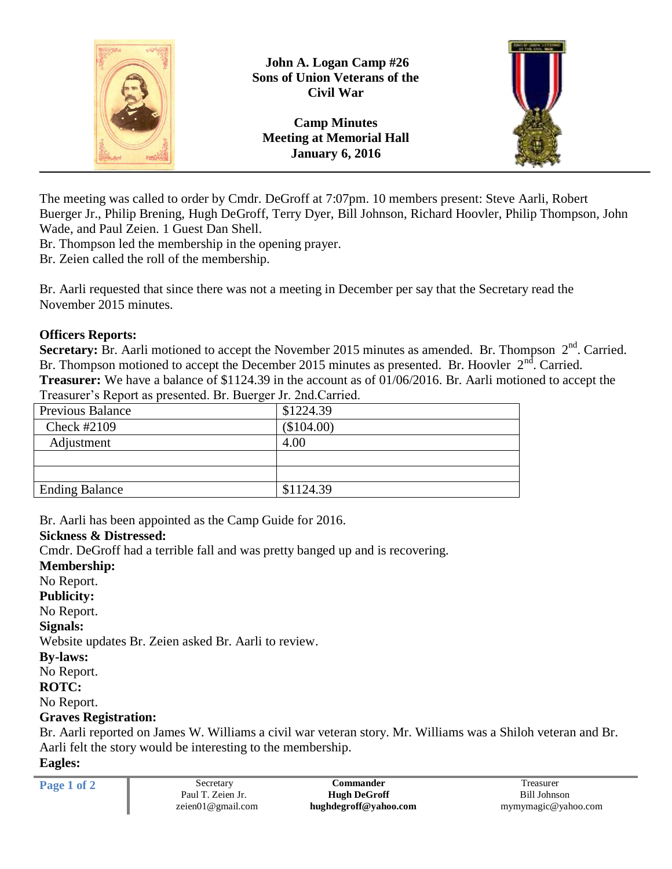

The meeting was called to order by Cmdr. DeGroff at 7:07pm. 10 members present: Steve Aarli, Robert Buerger Jr., Philip Brening, Hugh DeGroff, Terry Dyer, Bill Johnson, Richard Hoovler, Philip Thompson, John Wade, and Paul Zeien. 1 Guest Dan Shell.

Br. Thompson led the membership in the opening prayer.

Br. Zeien called the roll of the membership.

Br. Aarli requested that since there was not a meeting in December per say that the Secretary read the November 2015 minutes.

## **Officers Reports:**

Secretary: Br. Aarli motioned to accept the November 2015 minutes as amended. Br. Thompson 2<sup>nd</sup>. Carried. Br. Thompson motioned to accept the December 2015 minutes as presented. Br. Hoovler  $2<sup>nd</sup>$ . Carried. **Treasurer:** We have a balance of \$1124.39 in the account as of 01/06/2016. Br. Aarli motioned to accept the Treasurer's Report as presented. Br. Buerger Jr. 2nd.Carried.

| <b>Previous Balance</b> | \$1224.39  |
|-------------------------|------------|
| Check #2109             | (\$104.00) |
| Adjustment              | 4.00       |
|                         |            |
|                         |            |
| <b>Ending Balance</b>   | \$1124.39  |
|                         |            |

Br. Aarli has been appointed as the Camp Guide for 2016.

### **Sickness & Distressed:**

Cmdr. DeGroff had a terrible fall and was pretty banged up and is recovering.

**Membership:** No Report. **Publicity:** No Report. **Signals:** Website updates Br. Zeien asked Br. Aarli to review. **By-laws:** No Report. **ROTC:** No Report.

## **Graves Registration:**

Br. Aarli reported on James W. Williams a civil war veteran story. Mr. Williams was a Shiloh veteran and Br. Aarli felt the story would be interesting to the membership. **Eagles:**